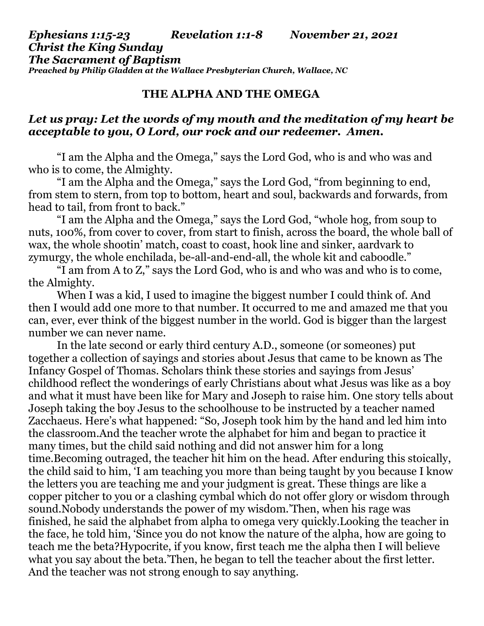## *Ephesians 1:15-23 Revelation 1:1-8 November 21, 2021 Christ the King Sunday The Sacrament of Baptism Preached by Philip Gladden at the Wallace Presbyterian Church, Wallace, NC*

## **THE ALPHA AND THE OMEGA**

## *Let us pray: Let the words of my mouth and the meditation of my heart be acceptable to you, O Lord, our rock and our redeemer. Amen.*

"I am the Alpha and the Omega," says the Lord God, who is and who was and who is to come, the Almighty.

"I am the Alpha and the Omega," says the Lord God, "from beginning to end, from stem to stern, from top to bottom, heart and soul, backwards and forwards, from head to tail, from front to back."

"I am the Alpha and the Omega," says the Lord God, "whole hog, from soup to nuts, 100%, from cover to cover, from start to finish, across the board, the whole ball of wax, the whole shootin' match, coast to coast, hook line and sinker, aardvark to zymurgy, the whole enchilada, be-all-and-end-all, the whole kit and caboodle."

"I am from A to Z," says the Lord God, who is and who was and who is to come, the Almighty.

When I was a kid, I used to imagine the biggest number I could think of. And then I would add one more to that number. It occurred to me and amazed me that you can, ever, ever think of the biggest number in the world. God is bigger than the largest number we can never name.

In the late second or early third century A.D., someone (or someones) put together a collection of sayings and stories about Jesus that came to be known as The Infancy Gospel of Thomas. Scholars think these stories and sayings from Jesus' childhood reflect the wonderings of early Christians about what Jesus was like as a boy and what it must have been like for Mary and Joseph to raise him. One story tells about Joseph taking the boy Jesus to the schoolhouse to be instructed by a teacher named Zacchaeus. Here's what happened: "So, Joseph took him by the hand and led him into the classroom.And the teacher wrote the alphabet for him and began to practice it many times, but the child said nothing and did not answer him for a long time.Becoming outraged, the teacher hit him on the head. After enduring this stoically, the child said to him, 'I am teaching you more than being taught by you because I know the letters you are teaching me and your judgment is great. These things are like a copper pitcher to you or a clashing cymbal which do not offer glory or wisdom through sound.Nobody understands the power of my wisdom.'Then, when his rage was finished, he said the alphabet from alpha to omega very quickly.Looking the teacher in the face, he told him, 'Since you do not know the nature of the alpha, how are going to teach me the beta?Hypocrite, if you know, first teach me the alpha then I will believe what you say about the beta.'Then, he began to tell the teacher about the first letter. And the teacher was not strong enough to say anything.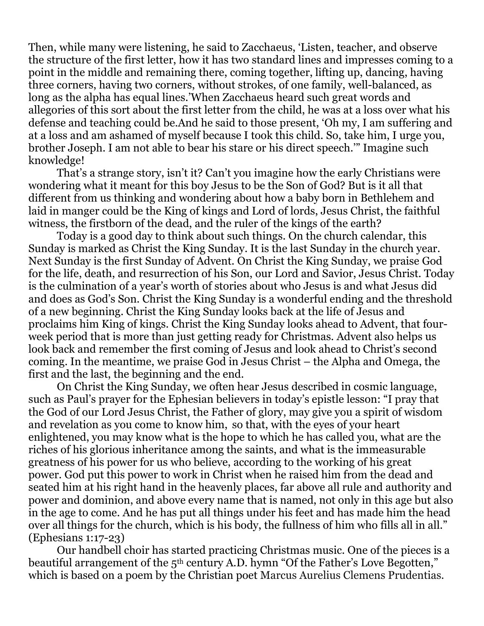Then, while many were listening, he said to Zacchaeus, 'Listen, teacher, and observe the structure of the first letter, how it has two standard lines and impresses coming to a point in the middle and remaining there, coming together, lifting up, dancing, having three corners, having two corners, without strokes, of one family, well-balanced, as long as the alpha has equal lines.'When Zacchaeus heard such great words and allegories of this sort about the first letter from the child, he was at a loss over what his defense and teaching could be.And he said to those present, 'Oh my, I am suffering and at a loss and am ashamed of myself because I took this child. So, take him, I urge you, brother Joseph. I am not able to bear his stare or his direct speech.'" Imagine such knowledge!

That's a strange story, isn't it? Can't you imagine how the early Christians were wondering what it meant for this boy Jesus to be the Son of God? But is it all that different from us thinking and wondering about how a baby born in Bethlehem and laid in manger could be the King of kings and Lord of lords, Jesus Christ, the faithful witness, the firstborn of the dead, and the ruler of the kings of the earth?

Today is a good day to think about such things. On the church calendar, this Sunday is marked as Christ the King Sunday. It is the last Sunday in the church year. Next Sunday is the first Sunday of Advent. On Christ the King Sunday, we praise God for the life, death, and resurrection of his Son, our Lord and Savior, Jesus Christ. Today is the culmination of a year's worth of stories about who Jesus is and what Jesus did and does as God's Son. Christ the King Sunday is a wonderful ending and the threshold of a new beginning. Christ the King Sunday looks back at the life of Jesus and proclaims him King of kings. Christ the King Sunday looks ahead to Advent, that fourweek period that is more than just getting ready for Christmas. Advent also helps us look back and remember the first coming of Jesus and look ahead to Christ's second coming. In the meantime, we praise God in Jesus Christ – the Alpha and Omega, the first and the last, the beginning and the end.

On Christ the King Sunday, we often hear Jesus described in cosmic language, such as Paul's prayer for the Ephesian believers in today's epistle lesson: "I pray that the God of our Lord Jesus Christ, the Father of glory, may give you a spirit of wisdom and revelation as you come to know him, so that, with the eyes of your heart enlightened, you may know what is the hope to which he has called you, what are the riches of his glorious inheritance among the saints, and what is the immeasurable greatness of his power for us who believe, according to the working of his great power. God put this power to work in Christ when he raised him from the dead and seated him at his right hand in the heavenly places, far above all rule and authority and power and dominion, and above every name that is named, not only in this age but also in the age to come. And he has put all things under his feet and has made him the head over all things for the church, which is his body, the fullness of him who fills all in all." (Ephesians 1:17-23)

Our handbell choir has started practicing Christmas music. One of the pieces is a beautiful arrangement of the 5<sup>th</sup> century A.D. hymn "Of the Father's Love Begotten," which is based on a poem by the Christian poet Marcus Aurelius Clemens Prudentias.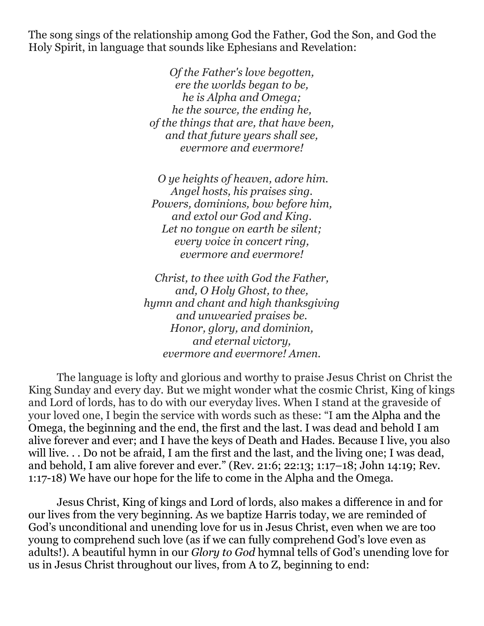The song sings of the relationship among God the Father, God the Son, and God the Holy Spirit, in language that sounds like Ephesians and Revelation:

> *Of the Father's love begotten, ere the worlds began to be, he is Alpha and Omega; he the source, the ending he, of the things that are, that have been, and that future years shall see, evermore and evermore!*

 *O ye heights of heaven, adore him. Angel hosts, his praises sing. Powers, dominions, bow before him, and extol our God and King. Let no tongue on earth be silent; every voice in concert ring, evermore and evermore!* 

*Christ, to thee with God the Father, and, O Holy Ghost, to thee, hymn and chant and high thanksgiving and unwearied praises be. Honor, glory, and dominion, and eternal victory, evermore and evermore! Amen.* 

 The language is lofty and glorious and worthy to praise Jesus Christ on Christ the King Sunday and every day. But we might wonder what the cosmic Christ, King of kings and Lord of lords, has to do with our everyday lives. When I stand at the graveside of your loved one, I begin the service with words such as these: "I am the Alpha and the Omega, the beginning and the end, the first and the last. I was dead and behold I am alive forever and ever; and I have the keys of Death and Hades. Because I live, you also will live. . . Do not be afraid, I am the first and the last, and the living one; I was dead, and behold, I am alive forever and ever." (Rev. 21:6; 22:13; 1:17–18; John 14:19; Rev. 1:17-18) We have our hope for the life to come in the Alpha and the Omega.

 Jesus Christ, King of kings and Lord of lords, also makes a difference in and for our lives from the very beginning. As we baptize Harris today, we are reminded of God's unconditional and unending love for us in Jesus Christ, even when we are too young to comprehend such love (as if we can fully comprehend God's love even as adults!). A beautiful hymn in our *Glory to God* hymnal tells of God's unending love for us in Jesus Christ throughout our lives, from A to Z, beginning to end: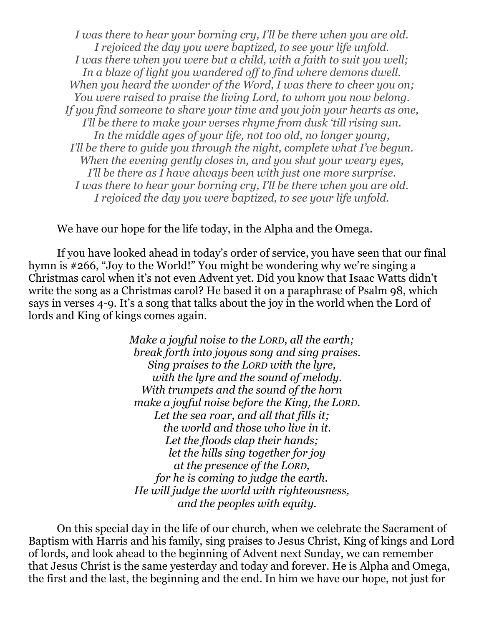*I was there to hear your borning cry, I'll be there when you are old. I rejoiced the day you were baptized, to see your life unfold. I was there when you were but a child, with a faith to suit you well; In a blaze of light you wandered off to find where demons dwell. When you heard the wonder of the Word, I was there to cheer you on; You were raised to praise the living Lord, to whom you now belong. If you find someone to share your time and you join your hearts as one, I'll be there to make your verses rhyme from dusk 'till rising sun. In the middle ages of your life, not too old, no longer young, I'll be there to guide you through the night, complete what I've begun. When the evening gently closes in, and you shut your weary eyes, I'll be there as I have always been with just one more surprise. I was there to hear your borning cry, I'll be there when you are old. I rejoiced the day you were baptized, to see your life unfold.* 

We have our hope for the life today, in the Alpha and the Omega.

If you have looked ahead in today's order of service, you have seen that our final hymn is #266, "Joy to the World!" You might be wondering why we're singing a Christmas carol when it's not even Advent yet. Did you know that Isaac Watts didn't write the song as a Christmas carol? He based it on a paraphrase of Psalm 98, which says in verses 4-9. It's a song that talks about the joy in the world when the Lord of lords and King of kings comes again.

> *Make a joyful noise to the LORD, all the earth; break forth into joyous song and sing praises. Sing praises to the LORD with the lyre, with the lyre and the sound of melody. With trumpets and the sound of the horn make a joyful noise before the King, the LORD. Let the sea roar, and all that fills it; the world and those who live in it. Let the floods clap their hands; let the hills sing together for joy at the presence of the LORD, for he is coming to judge the earth. He will judge the world with righteousness, and the peoples with equity.*

 On this special day in the life of our church, when we celebrate the Sacrament of Baptism with Harris and his family, sing praises to Jesus Christ, King of kings and Lord of lords, and look ahead to the beginning of Advent next Sunday, we can remember that Jesus Christ is the same yesterday and today and forever. He is Alpha and Omega, the first and the last, the beginning and the end. In him we have our hope, not just for